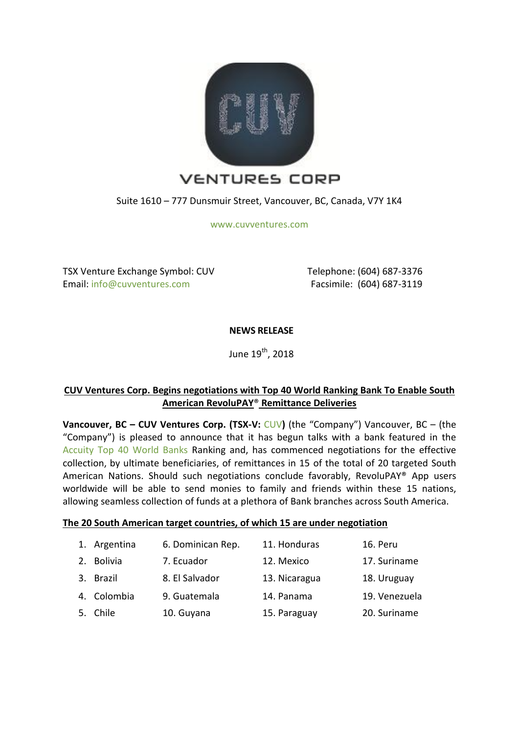

Suite 1610 – 777 Dunsmuir Street, Vancouver, BC, Canada, V7Y 1K4

[www.cuvventures.com](http://www.cuvventures.com/)

TSX Venture Exchange Symbol: CUV Email: [info@cuvventures.com](mailto:info@cuvventures.com)

 Telephone: (604) 687-3376 Facsimile: (604) 687-3119

# **NEWS RELEASE**

June 19<sup>th</sup>, 2018

# **CUV Ventures Corp. Begins negotiations with Top 40 World Ranking Bank To Enable South American RevoluPAY**® **Remittance Deliveries**

**Vancouver, BC – CUV Ventures Corp. (TSX-V:** [CUV](http://web.tmxmoney.com/quote.php?qm_symbol=CUV)**)** (the "Company") Vancouver, BC – (the "Company") is pleased to announce that it has begun talks with a bank featured in the [Accuity Top 40 World Banks](https://accuity.com/resources/bank-rankings/) Ranking and, has commenced negotiations for the effective collection, by ultimate beneficiaries, of remittances in 15 of the total of 20 targeted South American Nations. Should such negotiations conclude favorably, RevoluPAY® App users worldwide will be able to send monies to family and friends within these 15 nations, allowing seamless collection of funds at a plethora of Bank branches across South America.

### **The 20 South American target countries, of which 15 are under negotiation**

|    | 1. Argentina   | 6. Dominican Rep. | 11. Honduras  | 16. Peru      |
|----|----------------|-------------------|---------------|---------------|
| 2. | <b>Bolivia</b> | 7. Ecuador        | 12. Mexico    | 17. Suriname  |
|    | 3. Brazil      | 8. El Salvador    | 13. Nicaragua | 18. Uruguay   |
|    | 4. Colombia    | 9. Guatemala      | 14. Panama    | 19. Venezuela |
|    | 5. Chile       | 10. Guyana        | 15. Paraguay  | 20. Suriname  |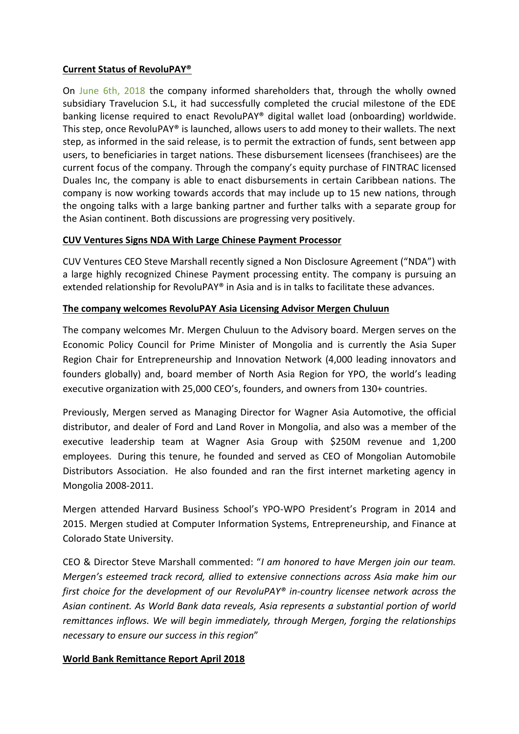# **Current Status of RevoluPAY®**

On [June 6th, 2018](https://cuvventures.com/news/cuv-ventures-corp-revolupay-r-s-l-signs-agreement-with-banking-license-partner-momopocket-ede-1) the company informed shareholders that, through the wholly owned subsidiary Travelucion S.L, it had successfully completed the crucial milestone of the EDE banking license required to enact RevoluPAY® digital wallet load (onboarding) worldwide. This step, once RevoluPAY® is launched, allows users to add money to their wallets. The next step, as informed in the said release, is to permit the extraction of funds, sent between app users, to beneficiaries in target nations. These disbursement licensees (franchisees) are the current focus of the company. Through the company's equity purchase of FINTRAC licensed Duales Inc, the company is able to enact disbursements in certain Caribbean nations. The company is now working towards accords that may include up to 15 new nations, through the ongoing talks with a large banking partner and further talks with a separate group for the Asian continent. Both discussions are progressing very positively.

## **CUV Ventures Signs NDA With Large Chinese Payment Processor**

CUV Ventures CEO Steve Marshall recently signed a Non Disclosure Agreement ("NDA") with a large highly recognized Chinese Payment processing entity. The company is pursuing an extended relationship for RevoluPAY® in Asia and is in talks to facilitate these advances.

## **The company welcomes RevoluPAY Asia Licensing Advisor Mergen Chuluun**

The company welcomes Mr. Mergen Chuluun to the Advisory board. Mergen serves on the Economic Policy Council for Prime Minister of Mongolia and is currently the Asia Super Region Chair for Entrepreneurship and Innovation Network (4,000 leading innovators and founders globally) and, board member of North Asia Region for YPO, the world's leading executive organization with 25,000 CEO's, founders, and owners from 130+ countries.

Previously, Mergen served as Managing Director for Wagner Asia Automotive, the official distributor, and dealer of Ford and Land Rover in Mongolia, and also was a member of the executive leadership team at Wagner Asia Group with \$250M revenue and 1,200 employees. During this tenure, he founded and served as CEO of Mongolian Automobile Distributors Association. He also founded and ran the first internet marketing agency in Mongolia 2008-2011.

Mergen attended Harvard Business School's YPO-WPO President's Program in 2014 and 2015. Mergen studied at Computer Information Systems, Entrepreneurship, and Finance at Colorado State University.

CEO & Director Steve Marshall commented: "*I am honored to have Mergen join our team. Mergen's esteemed track record, allied to extensive connections across Asia make him our first choice for the development of our RevoluPAY® in-country licensee network across the Asian continent. As World Bank data reveals, Asia represents a substantial portion of world remittances inflows. We will begin immediately, through Mergen, forging the relationships necessary to ensure our success in this region*"

### **World Bank Remittance Report April 2018**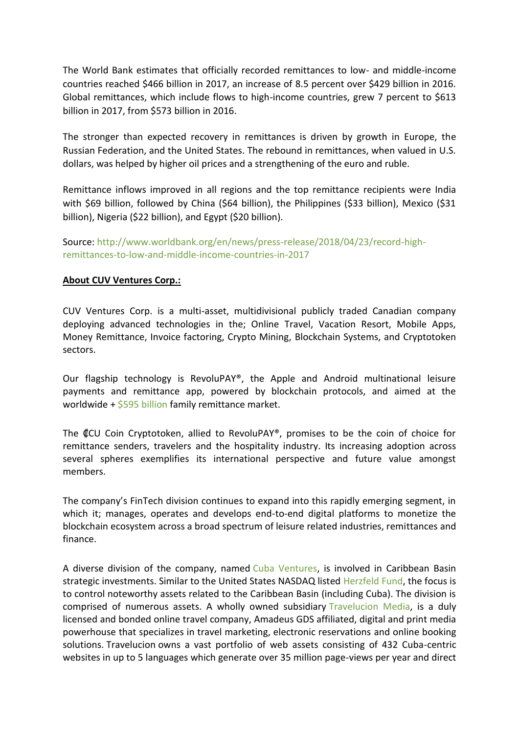The World Bank estimates that officially recorded remittances to low- and middle-income countries reached \$466 billion in 2017, an increase of 8.5 percent over \$429 billion in 2016. Global remittances, which include flows to high-income countries, grew 7 percent to \$613 billion in 2017, from \$573 billion in 2016.

The stronger than expected recovery in remittances is driven by growth in Europe, the Russian Federation, and the United States. The rebound in remittances, when valued in U.S. dollars, was helped by higher oil prices and a strengthening of the euro and ruble.

Remittance inflows improved in all regions and the top remittance recipients were India with \$69 billion, followed by China (\$64 billion), the Philippines (\$33 billion), Mexico (\$31 billion), Nigeria (\$22 billion), and Egypt (\$20 billion).

Source: [http://www.worldbank.org/en/news/press-release/2018/04/23/record-high](http://www.worldbank.org/en/news/press-release/2018/04/23/record-high-remittances-to-low-and-middle-income-countries-in-2017)[remittances-to-low-and-middle-income-countries-in-2017](http://www.worldbank.org/en/news/press-release/2018/04/23/record-high-remittances-to-low-and-middle-income-countries-in-2017)

## **About CUV Ventures Corp.:**

CUV Ventures Corp. is a multi-asset, multidivisional publicly traded Canadian company deploying advanced technologies in the; Online Travel, Vacation Resort, Mobile Apps, Money Remittance, Invoice factoring, Crypto Mining, Blockchain Systems, and Cryptotoken sectors.

Our flagship technology is RevoluPAY®, the Apple and Android multinational leisure payments and remittance app, powered by blockchain protocols, and aimed at the worldwide +  $$595$  billion family remittance market.

The ₡CU Coin Cryptotoken, allied to RevoluPAY®, promises to be the coin of choice for remittance senders, travelers and the hospitality industry. Its increasing adoption across several spheres exemplifies its international perspective and future value amongst members.

The company's FinTech division continues to expand into this rapidly emerging segment, in which it; manages, operates and develops end-to-end digital platforms to monetize the blockchain ecosystem across a broad spectrum of leisure related industries, remittances and finance.

A diverse division of the company, named [Cuba Ventures,](http://www.cubaventures.com/) is involved in Caribbean Basin strategic investments. Similar to the United States NASDAQ listed [Herzfeld Fund,](https://www.herzfeld.com/cuba) the focus is to control noteworthy assets related to the Caribbean Basin (including Cuba). The division is comprised of numerous assets. A wholly owned subsidiary [Travelucion Media,](http://www.travelucion.com/) is a duly licensed and bonded online travel company, [Amadeus GDS](http://www.amadeus.com/) affiliated, digital and print media powerhouse that specializes in travel marketing, electronic reservations and online booking solutions. [Travelucion](http://www.travelucion.com/) owns a vast portfolio of web assets consisting of 432 Cuba-centric websites in up to 5 languages which generate over 35 million page-views per year and direct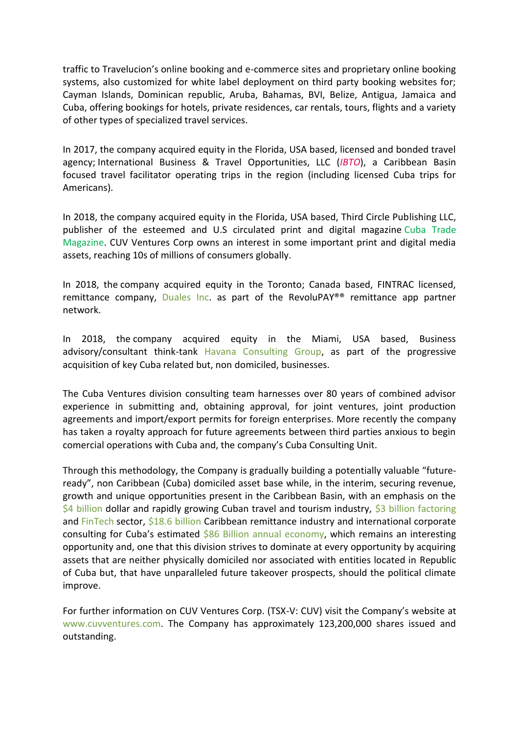traffic to Travelucion's online booking and e-commerce sites and proprietary online booking systems, also customized for white label deployment on third party booking websites for; Cayman Islands, Dominican republic, Aruba, Bahamas, BVI, Belize, Antigua, Jamaica and Cuba, offering bookings for hotels, private residences, car rentals, tours, flights and a variety of other types of specialized travel services.

In 2017, the company acquired equity in the Florida, USA based, licensed and bonded travel agency; International Business & Travel Opportunities, LLC (*IBTO*), a Caribbean Basin focused travel facilitator operating trips in the region (including licensed Cuba trips for Americans).

In 2018, the company acquired equity in the Florida, USA based, Third Circle Publishing LLC, publisher of the esteemed and U.S circulated print and digital magazine [Cuba Trade](http://www.cubatrademagazine.com/)  [Magazine.](http://www.cubatrademagazine.com/) CUV Ventures Corp owns an interest in some important print and digital media assets, reaching 10s of millions of consumers globally.

In 2018, the company acquired equity in the Toronto; Canada based, FINTRAC licensed, remittance company, [Duales Inc.](http://www.duales.com/) as part of the RevoluPAY®® remittance app partner network.

In 2018, the company acquired equity in the Miami, USA based, Business advisory/consultant think-tank [Havana Consulting Group,](http://www.thehavanaconsultinggroup.com/) as part of the progressive acquisition of key Cuba related but, non domiciled, businesses.

The Cuba Ventures division consulting team harnesses over 80 years of combined advisor experience in submitting and, obtaining approval, for joint ventures, joint production agreements and import/export permits for foreign enterprises. More recently the company has taken a royalty approach for future agreements between third parties anxious to begin comercial operations with Cuba and, the company's Cuba Consulting Unit.

Through this methodology, the Company is gradually building a potentially valuable "futureready", non Caribbean (Cuba) domiciled asset base while, in the interim, securing revenue, growth and unique opportunities present in the Caribbean Basin, with an emphasis on the [\\$4 billion](https://wits.worldbank.org/CountryProfile/en/CUB) dollar and rapidly growing Cuban travel and tourism industry,  $$3$  billion factoring and [FinTech](http://www.revolufin.com/) sector, [\\$18.6 billion](http://www.worldbank.org/en/topic/migrationremittancesdiasporaissues/brief/migration-remittances-data) Caribbean remittance industry and international corporate consulting for Cuba's estimated [\\$86 Billion annual economy,](https://es.wikipedia.org/wiki/Economía_de_Cuba) which remains an interesting opportunity and, one that this division strives to dominate at every opportunity by acquiring assets that are neither physically domiciled nor associated with entities located in Republic of Cuba but, that have unparalleled future takeover prospects, should the political climate improve.

For further information on CUV Ventures Corp. (TSX-V: CUV) visit the Company's website at [www.cuvventures.com.](http://www.cuvventures.com/) The Company has approximately 123,200,000 shares issued and outstanding.